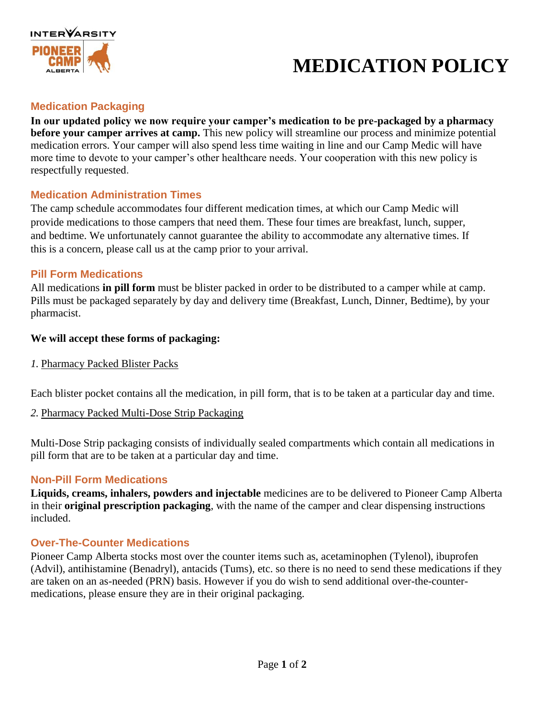

# **MEDICATION POLICY**

### **Medication Packaging**

**In our updated policy we now require your camper's medication to be pre-packaged by a pharmacy before your camper arrives at camp.** This new policy will streamline our process and minimize potential medication errors. Your camper will also spend less time waiting in line and our Camp Medic will have more time to devote to your camper's other healthcare needs. Your cooperation with this new policy is respectfully requested.

#### **Medication Administration Times**

The camp schedule accommodates four different medication times, at which our Camp Medic will provide medications to those campers that need them. These four times are breakfast, lunch, supper, and bedtime. We unfortunately cannot guarantee the ability to accommodate any alternative times. If this is a concern, please call us at the camp prior to your arrival.

#### **Pill Form Medications**

All medications **in pill form** must be blister packed in order to be distributed to a camper while at camp. Pills must be packaged separately by day and delivery time (Breakfast, Lunch, Dinner, Bedtime), by your pharmacist.

#### **We will accept these forms of packaging:**

*1.* Pharmacy Packed Blister Packs

Each blister pocket contains all the medication, in pill form, that is to be taken at a particular day and time.

*2.* Pharmacy Packed Multi-Dose Strip Packaging

Multi-Dose Strip packaging consists of individually sealed compartments which contain all medications in pill form that are to be taken at a particular day and time.

#### **Non-Pill Form Medications**

**Liquids, creams, inhalers, powders and injectable** medicines are to be delivered to Pioneer Camp Alberta in their **original prescription packaging**, with the name of the camper and clear dispensing instructions included.

#### **Over-The-Counter Medications**

Pioneer Camp Alberta stocks most over the counter items such as, acetaminophen (Tylenol), ibuprofen (Advil), antihistamine (Benadryl), antacids (Tums), etc. so there is no need to send these medications if they are taken on an as-needed (PRN) basis. However if you do wish to send additional over-the-countermedications, please ensure they are in their original packaging.